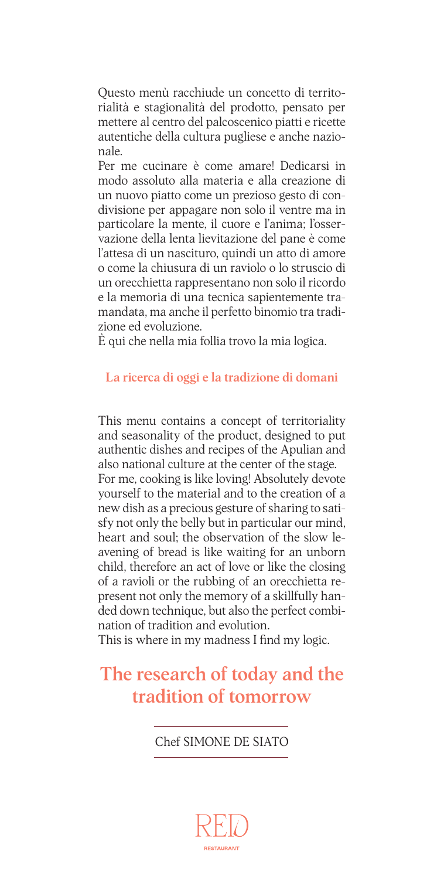Questo menù racchiude un concetto di territorialità e stagionalità del prodotto, pensato per mettere al centro del palcoscenico piatti e ricette autentiche della cultura pugliese e anche nazionale.

Per me cucinare è come amare! Dedicarsi in modo assoluto alla materia e alla creazione di un nuovo piatto come un prezioso gesto di condivisione per appagare non solo il ventre ma in particolare la mente, il cuore e l'anima; l'osservazione della lenta lievitazione del pane è come l'attesa di un nascituro, quindi un atto di amore o come la chiusura di un raviolo o lo struscio di un orecchietta rappresentano non solo il ricordo e la memoria di una tecnica sapientemente tramandata, ma anche il perfetto binomio tra tradizione ed evoluzione.

È qui che nella mia follia trovo la mia logica.

#### La ricerca di oggi e la tradizione di domani

This menu contains a concept of territoriality and seasonality of the product, designed to put authentic dishes and recipes of the Apulian and also national culture at the center of the stage. For me, cooking is like loving! Absolutely devote yourself to the material and to the creation of a new dish as a precious gesture of sharing to satisfy not only the belly but in particular our mind, heart and soul; the observation of the slow leavening of bread is like waiting for an unborn child, therefore an act of love or like the closing of a ravioli or the rubbing of an orecchietta represent not only the memory of a skillfully handed down technique, but also the perfect combination of tradition and evolution.

This is where in my madness I find my logic.

### The research of today and the tradition of tomorrow

Chef SIMONE DE SIATO

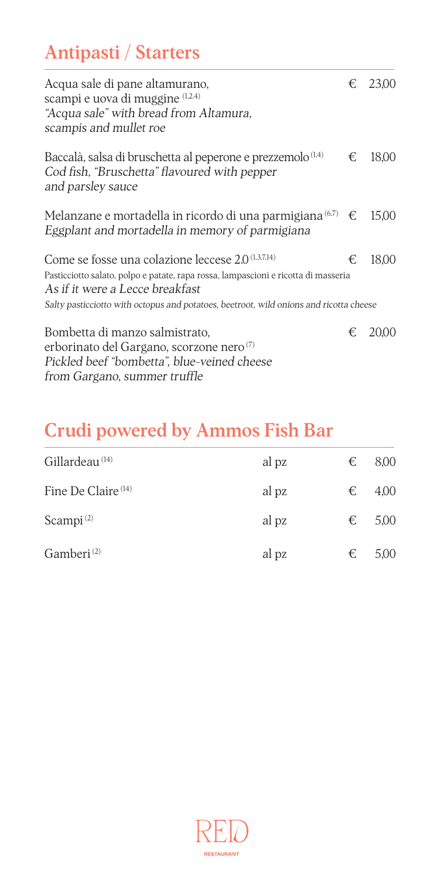# Antipasti / Starters

| Acqua sale di pane altamurano,<br>scampi e uova di muggine (1,2,4)<br>"Acqua sale" with bread from Altamura,<br>scampis and mullet roe                                                                                                                                           |   | € 23,00 |
|----------------------------------------------------------------------------------------------------------------------------------------------------------------------------------------------------------------------------------------------------------------------------------|---|---------|
| Baccalà, salsa di bruschetta al peperone e prezzemolo <sup>(1,4)</sup><br>Cod fish, "Bruschetta" flavoured with pepper<br>and parsley sauce                                                                                                                                      | € | 18,00   |
| Melanzane e mortadella in ricordo di una parmigiana $^{(6,7)} \in$<br>Eggplant and mortadella in memory of parmigiana                                                                                                                                                            |   | 15,00   |
| Come se fosse una colazione leccese 2.0 <sup>(1,3,7,14)</sup><br>Pasticciotto salato, polpo e patate, rapa rossa, lampascioni e ricotta di masseria<br>As if it were a Lecce breakfast<br>Salty pasticciotto with octopus and potatoes, beetroot, wild onions and ricotta cheese | € | 18,00   |
| Bombetta di manzo salmistrato,<br>erborinato del Gargano, scorzone nero <sup>(7)</sup><br>Pickled beef "bombetta", blue-veined cheese<br>from Gargano, summer truffle                                                                                                            | € | 20,00   |

## Crudi powered by Ammos Fish Bar

| Gillardeau <sup>(14)</sup>     | al pz | € | 8,00 |
|--------------------------------|-------|---|------|
| Fine De Claire <sup>(14)</sup> | al pz | € | 4,00 |
| Scampi $(2)$                   | al pz | € | 5,00 |
| Gamberi <sup>(2)</sup>         | al pz | € | 5,00 |

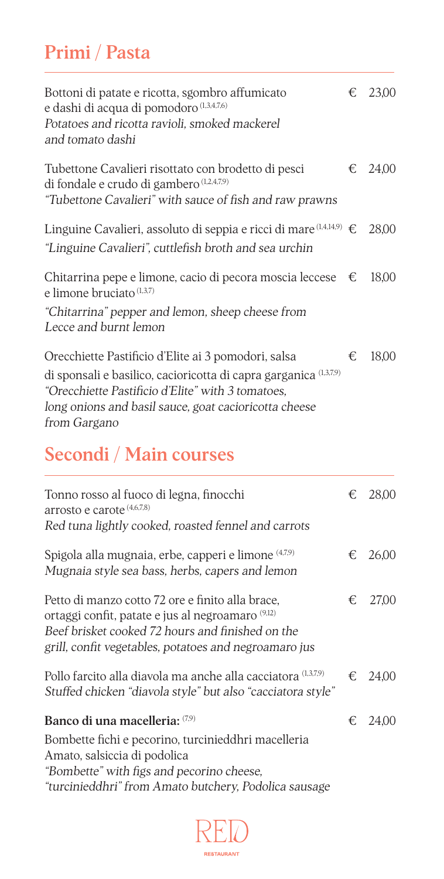# Primi / Pasta

| Bottoni di patate e ricotta, sgombro affumicato<br>e dashi di acqua di pomodoro (1,3,4,7,6)<br>Potatoes and ricotta ravioli, smoked mackerel<br>and tomato dashi                                                                                       |   | € 23,00 |
|--------------------------------------------------------------------------------------------------------------------------------------------------------------------------------------------------------------------------------------------------------|---|---------|
| Tubettone Cavalieri risottato con brodetto di pesci<br>di fondale e crudo di gambero (1,2,4,7,9)<br>"Tubettone Cavalieri" with sauce of fish and raw prawns                                                                                            |   | € 24,00 |
| Linguine Cavalieri, assoluto di seppia e ricci di mare $(1,4,14,9) \in$<br>"Linguine Cavalieri", cuttlefish broth and sea urchin                                                                                                                       |   | 28,00   |
| Chitarrina pepe e limone, cacio di pecora moscia leccese $\epsilon$<br>e limone bruciato (1,3,7)                                                                                                                                                       |   | 18,00   |
| "Chitarrina" pepper and lemon, sheep cheese from<br>Lecce and burnt lemon                                                                                                                                                                              |   |         |
| Orecchiette Pastificio d'Elite ai 3 pomodori, salsa<br>di sponsali e basilico, cacioricotta di capra garganica (1,3,7,9)<br>"Orecchiette Pastificio d'Elite" with 3 tomatoes,<br>long onions and basil sauce, goat cacioricotta cheese<br>from Gargano | € | 18,00   |

## Secondi / Main courses

| € | 28,00 |
|---|-------|
| € | 26,00 |
| € | 27,00 |
| € | 24,00 |
| € | 24,00 |
|   |       |

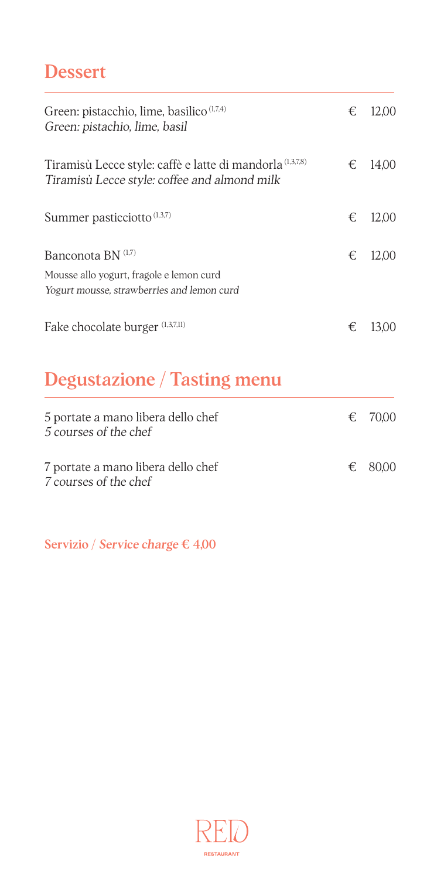### Dessert

| Green: pistacchio, lime, basilico <sup>(1,7,4)</sup><br>Green: pistachio, lime, basil                        | € | 12,00 |
|--------------------------------------------------------------------------------------------------------------|---|-------|
| Tiramisù Lecce style: caffè e latte di mandorla (1,3,7,8)<br>Tiramisù Lecce style: coffee and almond milk    | € | 14,00 |
| Summer pasticciotto $(1,3,7)$                                                                                | € | 12,00 |
| Banconota BN (1,7)<br>Mousse allo yogurt, fragole e lemon curd<br>Yogurt mousse, strawberries and lemon curd | € | 12,00 |
| Fake chocolate burger (1,3,7,11)                                                                             | € | 13,00 |
| <b>Degustazione</b> / Tasting menu                                                                           |   |       |
| 5 portate a mano libera dello chef<br>5 courses of the chef                                                  | € | 70,00 |
| 7 portate a mano libera dello chef                                                                           | € | 80,00 |

7 courses of the chef

Servizio / Service charge € 4,00

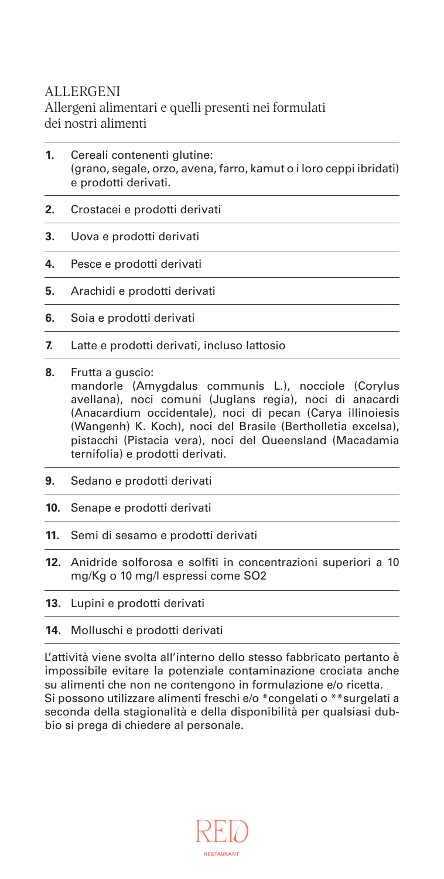#### ALLERGENI

Allergeni alimentari e quelli presenti nei formulati dei nostri alimenti

- **1.** Cereali contenenti glutine: (grano, segale, orzo, avena, farro, kamut o i loro ceppi ibridati) e prodotti derivati.
- **2.** Crostacei e prodotti derivati
- **3.** Uova e prodotti derivati
- **4.** Pesce e prodotti derivati
- **5.** Arachidi e prodotti derivati
- **6.** Soia e prodotti derivati
- **7.** Latte e prodotti derivati, incluso lattosio
- **8.** Frutta a guscio: mandorle (Amygdalus communis L.), nocciole (Corylus avellana), noci comuni (Juglans regia), noci di anacardi (Anacardium occidentale), noci di pecan (Carya illinoiesis (Wangenh) K. Koch), noci del Brasile (Bertholletia excelsa), pistacchi (Pistacia vera), noci del Queensland (Macadamia ternifolia) e prodotti derivati.
- **9.** Sedano e prodotti derivati
- **10.** Senape e prodotti derivati
- **11.** Semi di sesamo e prodotti derivati
- **12.** Anidride solforosa e solfiti in concentrazioni superiori a 10 mg/Kg o 10 mg/l espressi come SO2
- **13.** Lupini e prodotti derivati
- **14.** Molluschi e prodotti derivati

L'attività viene svolta all'interno dello stesso fabbricato pertanto è impossibile evitare la potenziale contaminazione crociata anche su alimenti che non ne contengono in formulazione e/o ricetta. Si possono utilizzare alimenti freschi e/o \*congelati o \*\*surgelati a seconda della stagionalità e della disponibilità per qualsiasi dubbio si prega di chiedere al personale.